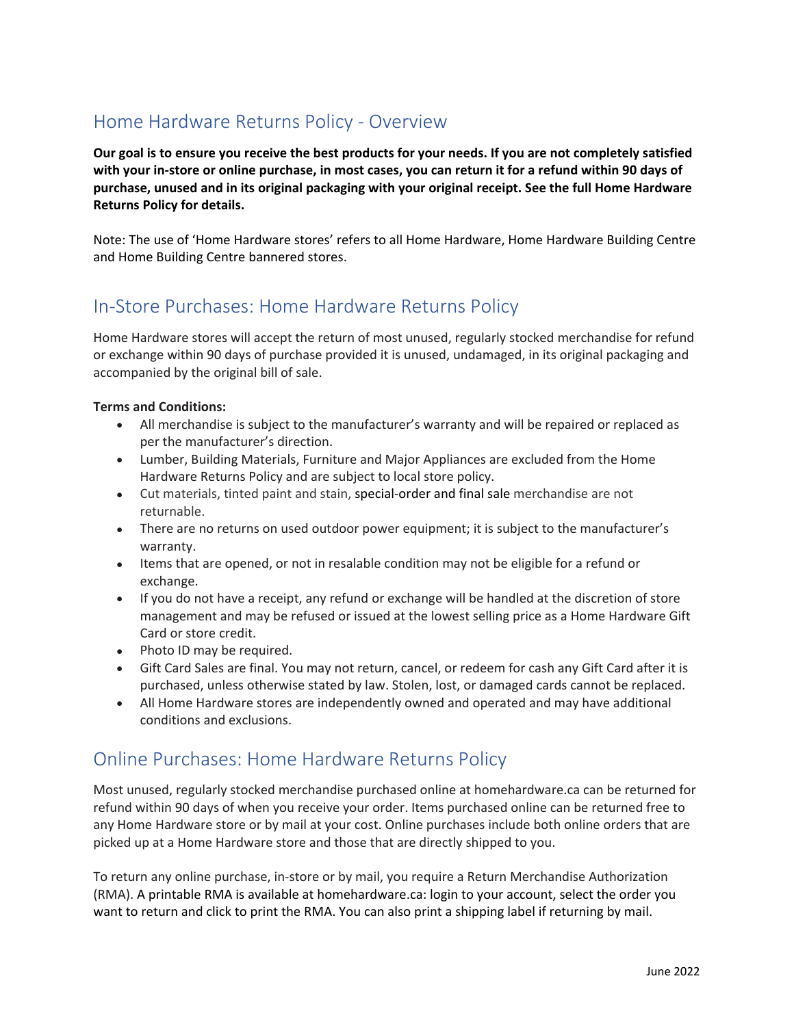# Home Hardware Returns Policy - Overview

**Our goal is to ensure you receive the best products for your needs. If you are not completely satisfied with your in-store or online purchase, in most cases, you can return it for a refund within 90 days of purchase, unused and in its original packaging with your original receipt. See the full Home Hardware Returns Policy for details.**

Note: The use of 'Home Hardware stores' refers to all Home Hardware, Home Hardware Building Centre and Home Building Centre bannered stores.

## In-Store Purchases: Home Hardware Returns Policy

Home Hardware stores will accept the return of most unused, regularly stocked merchandise for refund or exchange within 90 days of purchase provided it is unused, undamaged, in its original packaging and accompanied by the original bill of sale.

### **Terms and Conditions:**

- All merchandise is subject to the manufacturer's warranty and will be repaired or replaced as per the manufacturer's direction.
- Lumber, Building Materials, Furniture and Major Appliances are excluded from the Home Hardware Returns Policy and are subject to local store policy.
- Cut materials, tinted paint and stain, special-order and final sale merchandise are not returnable.
- There are no returns on used outdoor power equipment; it is subject to the manufacturer's warranty.
- Items that are opened, or not in resalable condition may not be eligible for a refund or exchange.
- If you do not have a receipt, any refund or exchange will be handled at the discretion of store management and may be refused or issued at the lowest selling price as a Home Hardware Gift Card or store credit.
- Photo ID may be required.
- Gift Card Sales are final. You may not return, cancel, or redeem for cash any Gift Card after it is purchased, unless otherwise stated by law. Stolen, lost, or damaged cards cannot be replaced.
- All Home Hardware stores are independently owned and operated and may have additional conditions and exclusions.

### Online Purchases: Home Hardware Returns Policy

Most unused, regularly stocked merchandise purchased online at homehardware.ca can be returned for refund within 90 days of when you receive your order. Items purchased online can be returned free to any Home Hardware store or by mail at your cost. Online purchases include both online orders that are picked up at a Home Hardware store and those that are directly shipped to you.

To return any online purchase, in-store or by mail, you require a Return Merchandise Authorization (RMA). A printable RMA is available at homehardware.ca: login to your account, select the order you want to return and click to print the RMA. You can also print a shipping label if returning by mail.